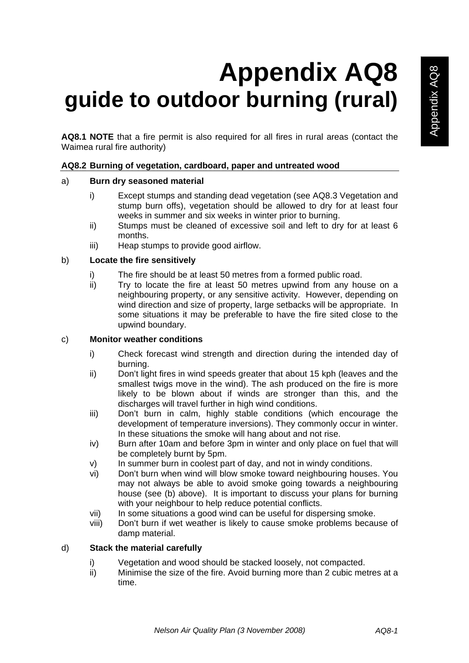# **Appendix AQ8 guide to outdoor burning (rural)**

**AQ8.1 NOTE** that a fire permit is also required for all fires in rural areas (contact the Waimea rural fire authority)

# **AQ8.2 Burning of vegetation, cardboard, paper and untreated wood**

# a) **Burn dry seasoned material**

- i) Except stumps and standing dead vegetation (see AQ8.3 Vegetation and stump burn offs), vegetation should be allowed to dry for at least four weeks in summer and six weeks in winter prior to burning.
- ii) Stumps must be cleaned of excessive soil and left to dry for at least 6 months.
- iii) Heap stumps to provide good airflow.

# b) **Locate the fire sensitively**

- i) The fire should be at least 50 metres from a formed public road.
- ii) Try to locate the fire at least 50 metres upwind from any house on a neighbouring property, or any sensitive activity. However, depending on wind direction and size of property, large setbacks will be appropriate. In some situations it may be preferable to have the fire sited close to the upwind boundary.

# c) **Monitor weather conditions**

- i) Check forecast wind strength and direction during the intended day of burning.
- ii) Don't light fires in wind speeds greater that about 15 kph (leaves and the smallest twigs move in the wind). The ash produced on the fire is more likely to be blown about if winds are stronger than this, and the discharges will travel further in high wind conditions.
- iii) Don't burn in calm, highly stable conditions (which encourage the development of temperature inversions). They commonly occur in winter. In these situations the smoke will hang about and not rise.
- iv) Burn after 10am and before 3pm in winter and only place on fuel that will be completely burnt by 5pm.
- v) In summer burn in coolest part of day, and not in windy conditions.
- vi) Don't burn when wind will blow smoke toward neighbouring houses. You may not always be able to avoid smoke going towards a neighbouring house (see (b) above). It is important to discuss your plans for burning with your neighbour to help reduce potential conflicts.
- vii) In some situations a good wind can be useful for dispersing smoke.
- viii) Don't burn if wet weather is likely to cause smoke problems because of damp material.

# d) **Stack the material carefully**

- i) Vegetation and wood should be stacked loosely, not compacted.
- ii) Minimise the size of the fire. Avoid burning more than 2 cubic metres at a time.